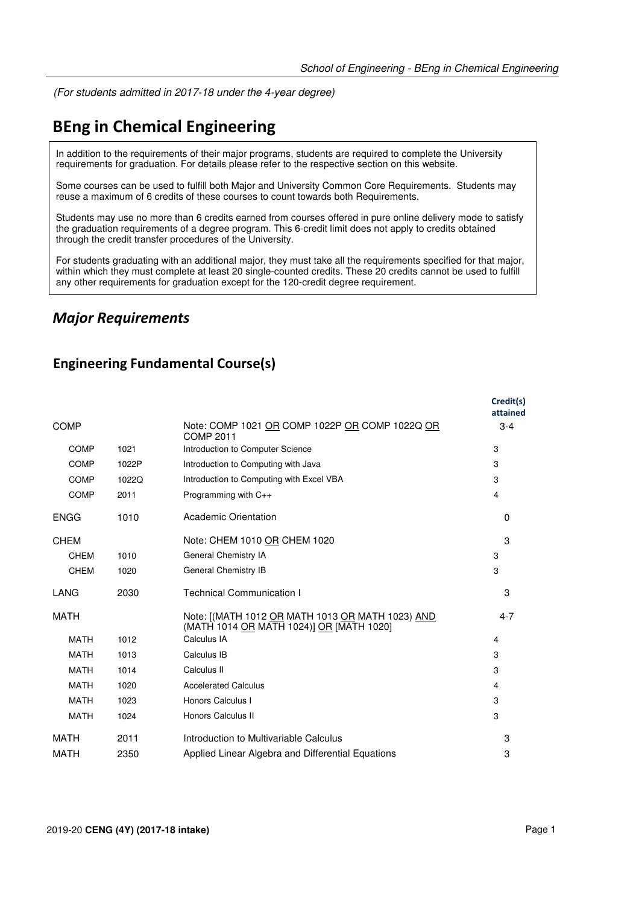(For students admitted in 2017-18 under the 4-year degree)

# **BEng in Chemical Engineering**

In addition to the requirements of their major programs, students are required to complete the University requirements for graduation. For details please refer to the respective section on this website.

Some courses can be used to fulfill both Major and University Common Core Requirements. Students may reuse a maximum of 6 credits of these courses to count towards both Requirements.

Students may use no more than 6 credits earned from courses offered in pure online delivery mode to satisfy the graduation requirements of a degree program. This 6-credit limit does not apply to credits obtained through the credit transfer procedures of the University.

For students graduating with an additional major, they must take all the requirements specified for that major, within which they must complete at least 20 single-counted credits. These 20 credits cannot be used to fulfill any other requirements for graduation except for the 120-credit degree requirement.

### *Major Requirements*

### **Engineering Fundamental Course(s)**

|             |       |                                                                                              | Credit(s)<br>attained |
|-------------|-------|----------------------------------------------------------------------------------------------|-----------------------|
| <b>COMP</b> |       | Note: COMP 1021 OR COMP 1022P OR COMP 1022Q OR<br>COMP 2011                                  | $3 - 4$               |
| COMP        | 1021  | Introduction to Computer Science                                                             | 3                     |
| <b>COMP</b> | 1022P | Introduction to Computing with Java                                                          | 3                     |
| <b>COMP</b> | 1022Q | Introduction to Computing with Excel VBA                                                     | 3                     |
| <b>COMP</b> | 2011  | Programming with C++                                                                         | $\overline{4}$        |
| <b>ENGG</b> | 1010  | Academic Orientation                                                                         | $\Omega$              |
| <b>CHEM</b> |       | Note: CHEM 1010 OR CHEM 1020                                                                 | 3                     |
| <b>CHEM</b> | 1010  | General Chemistry IA                                                                         | 3                     |
| <b>CHEM</b> | 1020  | General Chemistry IB                                                                         | 3                     |
| LANG        | 2030  | <b>Technical Communication I</b>                                                             | 3                     |
| MATH        |       | Note: [(MATH 1012 OR MATH 1013 OR MATH 1023) AND<br>(MATH 1014 OR MATH 1024)] OR [MATH 1020] | $4 - 7$               |
| <b>MATH</b> | 1012  | Calculus IA                                                                                  | $\overline{4}$        |
| <b>MATH</b> | 1013  | Calculus IB                                                                                  | 3                     |
| <b>MATH</b> | 1014  | Calculus II                                                                                  | 3                     |
| <b>MATH</b> | 1020  | <b>Accelerated Calculus</b>                                                                  | 4                     |
| <b>MATH</b> | 1023  | Honors Calculus I                                                                            | 3                     |
| <b>MATH</b> | 1024  | Honors Calculus II                                                                           | 3                     |
| <b>MATH</b> | 2011  | Introduction to Multivariable Calculus                                                       | 3                     |
| <b>MATH</b> | 2350  | Applied Linear Algebra and Differential Equations                                            | 3                     |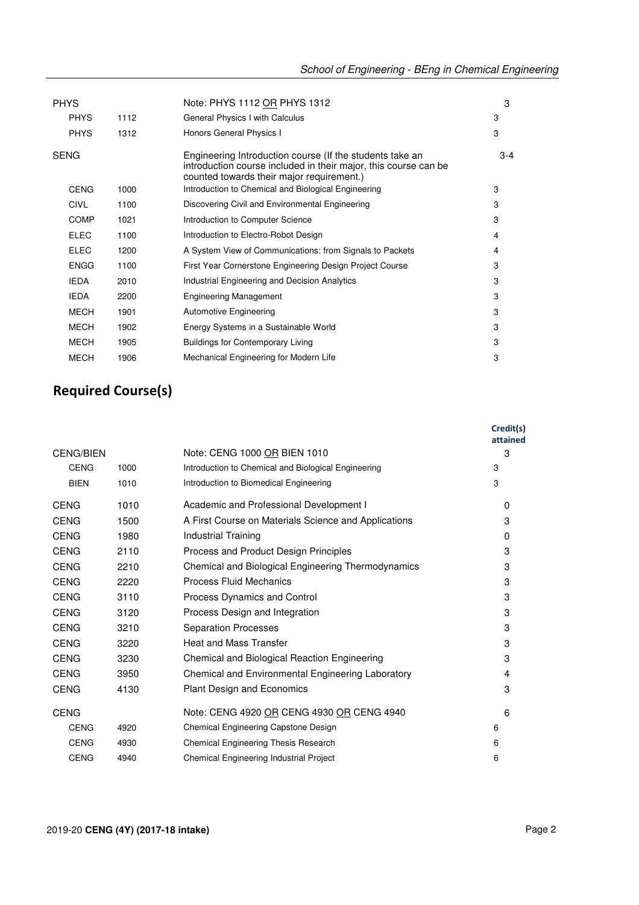| <b>PHYS</b> |      | Note: PHYS 1112 OR PHYS 1312                                                                                                                                             | 3       |
|-------------|------|--------------------------------------------------------------------------------------------------------------------------------------------------------------------------|---------|
| <b>PHYS</b> | 1112 | General Physics I with Calculus                                                                                                                                          | 3       |
| <b>PHYS</b> | 1312 | Honors General Physics I                                                                                                                                                 | 3       |
| <b>SENG</b> |      | Engineering Introduction course (If the students take an<br>introduction course included in their major, this course can be<br>counted towards their major requirement.) | $3 - 4$ |
| <b>CENG</b> | 1000 | Introduction to Chemical and Biological Engineering                                                                                                                      | 3       |
| <b>CIVL</b> | 1100 | Discovering Civil and Environmental Engineering                                                                                                                          | 3       |
| <b>COMP</b> | 1021 | Introduction to Computer Science                                                                                                                                         | 3       |
| <b>ELEC</b> | 1100 | Introduction to Electro-Robot Design                                                                                                                                     | 4       |
| <b>ELEC</b> | 1200 | A System View of Communications: from Signals to Packets                                                                                                                 | 4       |
| <b>ENGG</b> | 1100 | First Year Cornerstone Engineering Design Project Course                                                                                                                 | 3       |
| <b>IEDA</b> | 2010 | Industrial Engineering and Decision Analytics                                                                                                                            | 3       |
| <b>IEDA</b> | 2200 | <b>Engineering Management</b>                                                                                                                                            | 3       |
| <b>MECH</b> | 1901 | <b>Automotive Engineering</b>                                                                                                                                            | 3       |
| <b>MECH</b> | 1902 | Energy Systems in a Sustainable World                                                                                                                                    | 3       |
| <b>MECH</b> | 1905 | <b>Buildings for Contemporary Living</b>                                                                                                                                 | 3       |
| <b>MECH</b> | 1906 | Mechanical Engineering for Modern Life                                                                                                                                   | 3       |

## **Required Course(s)**

|                  |      |                                                      | Credit(s)<br>attained |
|------------------|------|------------------------------------------------------|-----------------------|
| <b>CENG/BIEN</b> |      | Note: CENG 1000 OR BIEN 1010                         | 3                     |
| <b>CENG</b>      | 1000 | Introduction to Chemical and Biological Engineering  | 3                     |
| <b>BIEN</b>      | 1010 | Introduction to Biomedical Engineering               | 3                     |
| <b>CENG</b>      | 1010 | Academic and Professional Development I              | $\Omega$              |
| <b>CENG</b>      | 1500 | A First Course on Materials Science and Applications | 3                     |
| <b>CENG</b>      | 1980 | Industrial Training                                  | $\Omega$              |
| <b>CENG</b>      | 2110 | Process and Product Design Principles                | 3                     |
| <b>CENG</b>      | 2210 | Chemical and Biological Engineering Thermodynamics   | 3                     |
| <b>CENG</b>      | 2220 | <b>Process Fluid Mechanics</b>                       | 3                     |
| <b>CENG</b>      | 3110 | Process Dynamics and Control                         | 3                     |
| <b>CENG</b>      | 3120 | Process Design and Integration                       | 3                     |
| <b>CENG</b>      | 3210 | <b>Separation Processes</b>                          | 3                     |
| <b>CENG</b>      | 3220 | <b>Heat and Mass Transfer</b>                        | 3                     |
| <b>CENG</b>      | 3230 | Chemical and Biological Reaction Engineering         | 3                     |
| <b>CENG</b>      | 3950 | Chemical and Environmental Engineering Laboratory    | 4                     |
| <b>CENG</b>      | 4130 | <b>Plant Design and Economics</b>                    | 3                     |
| <b>CENG</b>      |      | Note: CENG 4920 OR CENG 4930 OR CENG 4940            | 6                     |
| <b>CENG</b>      | 4920 | Chemical Engineering Capstone Design                 | 6                     |
| <b>CENG</b>      | 4930 | <b>Chemical Engineering Thesis Research</b>          | 6                     |
| <b>CENG</b>      | 4940 | Chemical Engineering Industrial Project              | 6                     |